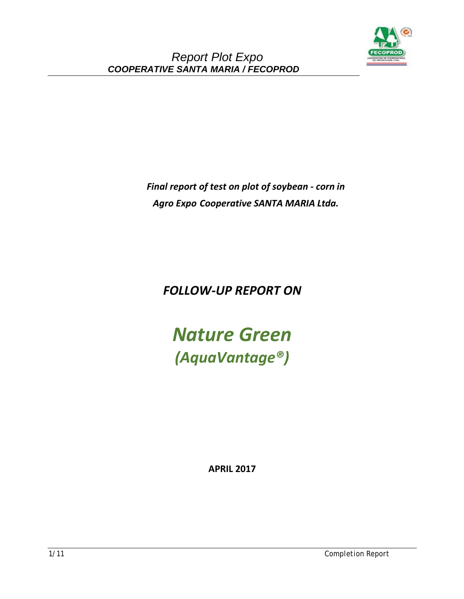

*Final report of test on plot of soybean - corn in Agro Expo Cooperative SANTA MARIA Ltda.*

*FOLLOW-UP REPORT ON*

*Nature Green (AquaVantage®)*

**APRIL 2017**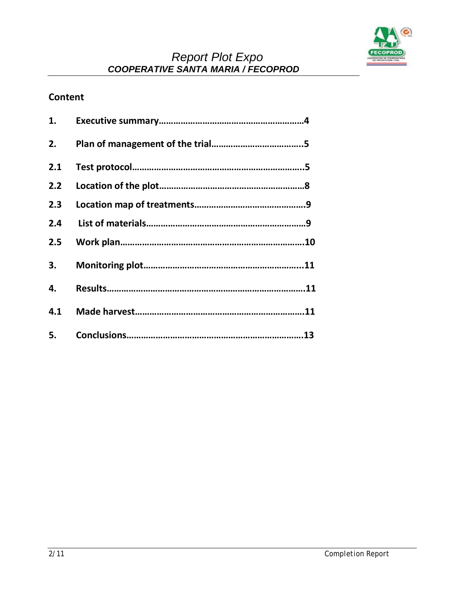

## **Content**

| 1.  |  |
|-----|--|
| 2.  |  |
| 2.1 |  |
| 2.2 |  |
| 2.3 |  |
| 2.4 |  |
| 2.5 |  |
| 3.  |  |
| 4.  |  |
| 4.1 |  |
| 5.  |  |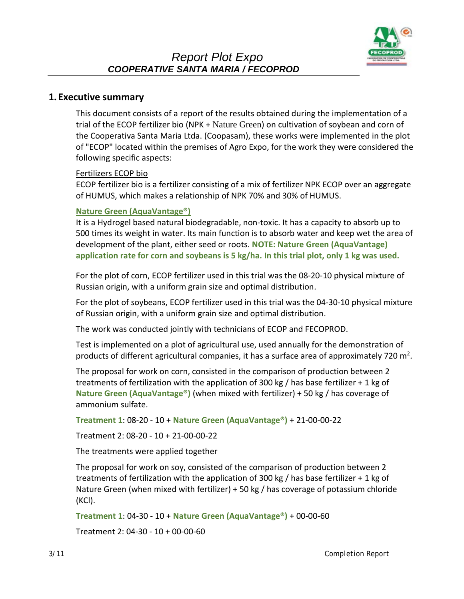### **1. Executive summary**

This document consists of a report of the results obtained during the implementation of a trial of the ECOP fertilizer bio (NPK + Nature Green) on cultivation of soybean and corn of the Cooperativa Santa Maria Ltda. (Coopasam), these works were implemented in the plot of "ECOP" located within the premises of Agro Expo, for the work they were considered the following specific aspects:

#### Fertilizers ECOP bio

ECOP fertilizer bio is a fertilizer consisting of a mix of fertilizer NPK ECOP over an aggregate of HUMUS, which makes a relationship of NPK 70% and 30% of HUMUS.

#### **Nature Green (AquaVantage®)**

It is a Hydrogel based natural biodegradable, non-toxic. It has a capacity to absorb up to 500 times its weight in water. Its main function is to absorb water and keep wet the area of development of the plant, either seed or roots. **NOTE: Nature Green (AquaVantage) application rate for corn and soybeans is 5 kg/ha. In this trial plot, only 1 kg was used.**

For the plot of corn, ECOP fertilizer used in this trial was the 08-20-10 physical mixture of Russian origin, with a uniform grain size and optimal distribution.

For the plot of soybeans, ECOP fertilizer used in this trial was the 04-30-10 physical mixture of Russian origin, with a uniform grain size and optimal distribution.

The work was conducted jointly with technicians of ECOP and FECOPROD.

Test is implemented on a plot of agricultural use, used annually for the demonstration of products of different agricultural companies, it has a surface area of approximately 720  $m<sup>2</sup>$ .

The proposal for work on corn, consisted in the comparison of production between 2 treatments of fertilization with the application of 300 kg / has base fertilizer + 1 kg of **Nature Green (AquaVantage®)** (when mixed with fertilizer) + 50 kg / has coverage of ammonium sulfate.

```
Treatment 1: 08-20 - 10 + Nature Green (AquaVantage®) + 21-00-00-22
```
Treatment 2: 08-20 - 10 + 21-00-00-22

The treatments were applied together

The proposal for work on soy, consisted of the comparison of production between 2 treatments of fertilization with the application of 300 kg / has base fertilizer + 1 kg of Nature Green (when mixed with fertilizer) + 50 kg / has coverage of potassium chloride (KCl).

```
Treatment 1: 04-30 - 10 + Nature Green (AquaVantage®) + 00-00-60
```
Treatment 2: 04-30 - 10 + 00-00-60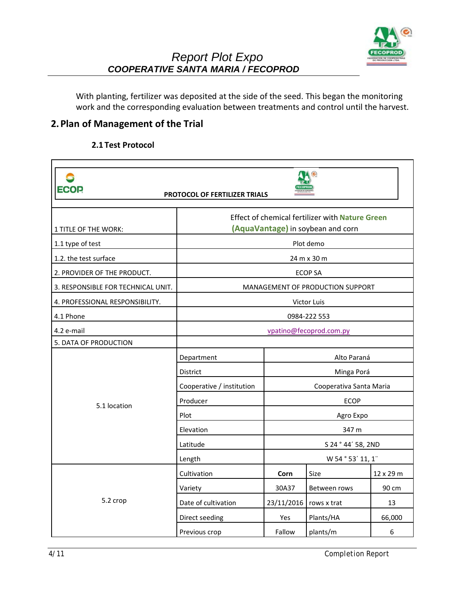

With planting, fertilizer was deposited at the side of the seed. This began the monitoring work and the corresponding evaluation between treatments and control until the harvest.

## **2. Plan of Management of the Trial**

#### **2.1 Test Protocol**

| <b>ECOP</b><br>PROTOCOL OF FERTILIZER TRIALS |                                                                                             |                         |                                  |           |  |  |  |  |  |
|----------------------------------------------|---------------------------------------------------------------------------------------------|-------------------------|----------------------------------|-----------|--|--|--|--|--|
| 1 TITLE OF THE WORK:                         | <b>Effect of chemical fertilizer with Nature Green</b><br>(AquaVantage) in soybean and corn |                         |                                  |           |  |  |  |  |  |
| 1.1 type of test                             |                                                                                             |                         | Plot demo                        |           |  |  |  |  |  |
| 1.2. the test surface                        |                                                                                             |                         | 24 m x 30 m                      |           |  |  |  |  |  |
| 2. PROVIDER OF THE PRODUCT.                  |                                                                                             |                         | <b>ECOP SA</b>                   |           |  |  |  |  |  |
| 3. RESPONSIBLE FOR TECHNICAL UNIT.           |                                                                                             |                         | MANAGEMENT OF PRODUCTION SUPPORT |           |  |  |  |  |  |
| 4. PROFESSIONAL RESPONSIBILITY.              |                                                                                             |                         | Victor Luis                      |           |  |  |  |  |  |
| 4.1 Phone                                    |                                                                                             |                         | 0984-222 553                     |           |  |  |  |  |  |
| 4.2 e-mail                                   | vpatino@fecoprod.com.py                                                                     |                         |                                  |           |  |  |  |  |  |
| 5. DATA OF PRODUCTION                        |                                                                                             |                         |                                  |           |  |  |  |  |  |
|                                              | Alto Paraná<br>Department                                                                   |                         |                                  |           |  |  |  |  |  |
|                                              | District<br>Minga Porá                                                                      |                         |                                  |           |  |  |  |  |  |
|                                              | Cooperative / institution                                                                   | Cooperativa Santa Maria |                                  |           |  |  |  |  |  |
| 5.1 location                                 | Producer                                                                                    |                         | <b>ECOP</b>                      |           |  |  |  |  |  |
|                                              | Plot                                                                                        |                         | Agro Expo                        |           |  |  |  |  |  |
|                                              | Elevation                                                                                   | 347 m                   |                                  |           |  |  |  |  |  |
|                                              | Latitude                                                                                    | S 24 ° 44' 58, 2ND      |                                  |           |  |  |  |  |  |
|                                              | Length                                                                                      |                         | W 54 ° 53' 11, 1"                |           |  |  |  |  |  |
|                                              | Cultivation                                                                                 | Corn                    | Size                             | 12 x 29 m |  |  |  |  |  |
|                                              | Variety                                                                                     | 30A37                   | Between rows                     | 90 cm     |  |  |  |  |  |
| 5.2 crop                                     | Date of cultivation                                                                         | 23/11/2016              | rows x trat                      | 13        |  |  |  |  |  |
|                                              | Direct seeding                                                                              | Yes                     | Plants/HA                        | 66,000    |  |  |  |  |  |
|                                              | Previous crop                                                                               | Fallow                  | plants/m                         | 6         |  |  |  |  |  |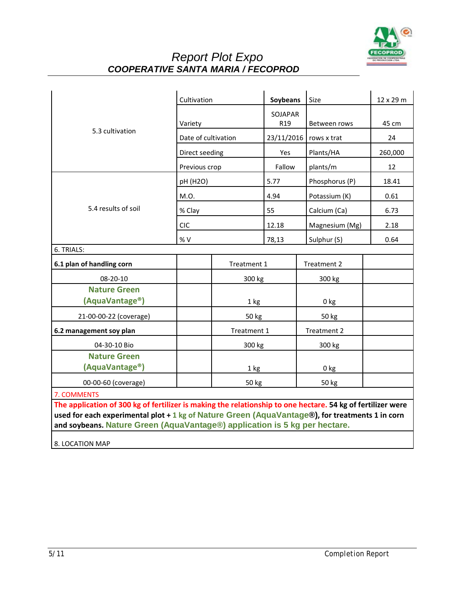

|                                                                                                                                                                                                                | Cultivation         |             | Soybeans        | <b>Size</b>    | 12 x 29 m |  |  |  |  |  |
|----------------------------------------------------------------------------------------------------------------------------------------------------------------------------------------------------------------|---------------------|-------------|-----------------|----------------|-----------|--|--|--|--|--|
|                                                                                                                                                                                                                |                     |             | SOJAPAR         |                |           |  |  |  |  |  |
|                                                                                                                                                                                                                | Variety             |             | R <sub>19</sub> | Between rows   | 45 cm     |  |  |  |  |  |
| 5.3 cultivation                                                                                                                                                                                                | Date of cultivation |             | 23/11/2016      | rows x trat    | 24        |  |  |  |  |  |
|                                                                                                                                                                                                                | Direct seeding      |             | Yes             | Plants/HA      | 260,000   |  |  |  |  |  |
|                                                                                                                                                                                                                | Previous crop       |             | Fallow          | plants/m       | 12        |  |  |  |  |  |
|                                                                                                                                                                                                                | pH (H2O)            |             | 5.77            | Phosphorus (P) | 18.41     |  |  |  |  |  |
|                                                                                                                                                                                                                | M.O.                |             | 4.94            | Potassium (K)  | 0.61      |  |  |  |  |  |
| 5.4 results of soil                                                                                                                                                                                            | % Clay              |             | 55              | Calcium (Ca)   | 6.73      |  |  |  |  |  |
|                                                                                                                                                                                                                | <b>CIC</b>          |             | 12.18           | Magnesium (Mg) | 2.18      |  |  |  |  |  |
|                                                                                                                                                                                                                | % V                 |             |                 | Sulphur (S)    | 0.64      |  |  |  |  |  |
| 6. TRIALS:                                                                                                                                                                                                     |                     |             |                 |                |           |  |  |  |  |  |
| 6.1 plan of handling corn                                                                                                                                                                                      |                     | Treatment 1 |                 | Treatment 2    |           |  |  |  |  |  |
| 08-20-10                                                                                                                                                                                                       |                     | 300 kg      |                 | 300 kg         |           |  |  |  |  |  |
| <b>Nature Green</b>                                                                                                                                                                                            |                     |             |                 |                |           |  |  |  |  |  |
| (AquaVantage®)                                                                                                                                                                                                 |                     | 1 kg        |                 | 0 kg           |           |  |  |  |  |  |
| 21-00-00-22 (coverage)                                                                                                                                                                                         |                     | 50 kg       |                 | 50 kg          |           |  |  |  |  |  |
| 6.2 management soy plan                                                                                                                                                                                        |                     | Treatment 1 |                 | Treatment 2    |           |  |  |  |  |  |
| 04-30-10 Bio                                                                                                                                                                                                   |                     | 300 kg      |                 | 300 kg         |           |  |  |  |  |  |
| <b>Nature Green</b>                                                                                                                                                                                            |                     |             |                 |                |           |  |  |  |  |  |
| (AquaVantage®)                                                                                                                                                                                                 | 1 kg                |             |                 | 0 kg           |           |  |  |  |  |  |
| 00-00-60 (coverage)                                                                                                                                                                                            |                     | 50 kg       |                 | 50 kg          |           |  |  |  |  |  |
| 7. COMMENTS                                                                                                                                                                                                    |                     |             |                 |                |           |  |  |  |  |  |
| The application of 300 kg of fertilizer is making the relationship to one hectare. 54 kg of fertilizer were<br>used for each experimental plot + 1 kg of Nature Green (AquaVantage®), for treatments 1 in corn |                     |             |                 |                |           |  |  |  |  |  |
| and soybeans. Nature Green (AquaVantage®) application is 5 kg per hectare.                                                                                                                                     |                     |             |                 |                |           |  |  |  |  |  |

8. LOCATION MAP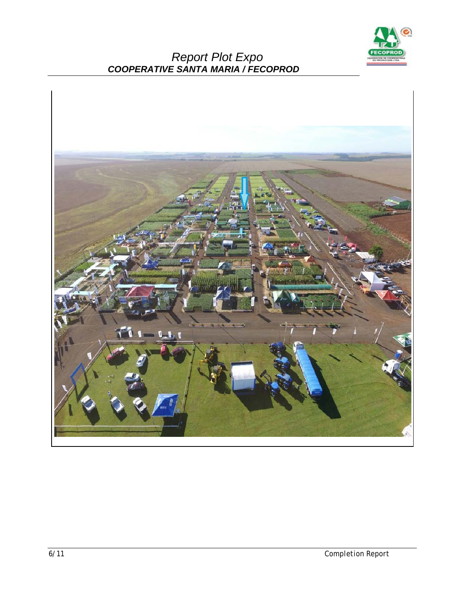

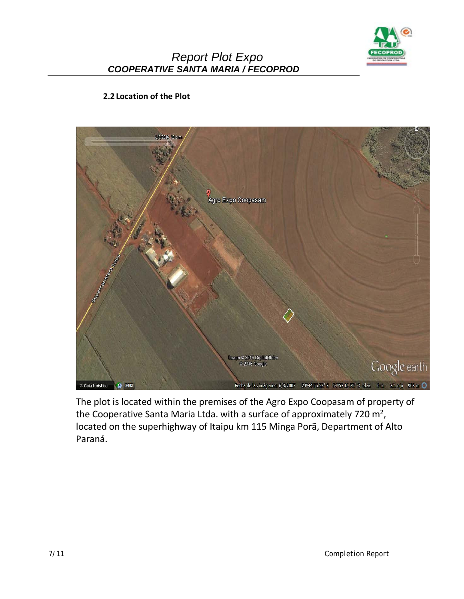

### **2.2 Location of the Plot**



The plot is located within the premises of the Agro Expo Coopasam of property of the Cooperative Santa Maria Ltda. with a surface of approximately 720  $m^2$ , located on the superhighway of Itaipu km 115 Minga Porã, Department of Alto Paraná.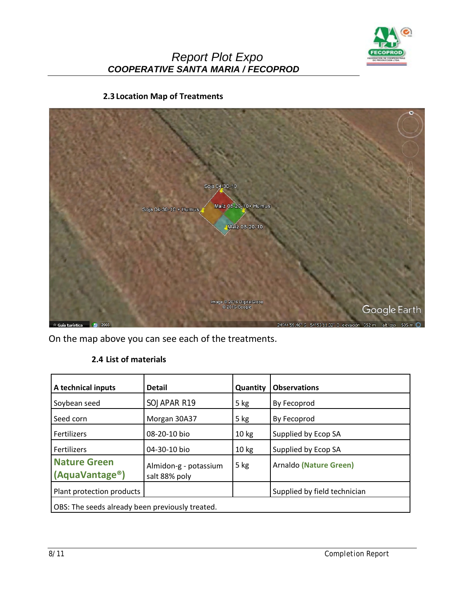

### **2.3 Location Map of Treatments**



On the map above you can see each of the treatments.

### **2.4 List of materials**

| A technical inputs                                 | <b>Detail</b>                          | Quantity         | <b>Observations</b>           |  |  |  |  |  |
|----------------------------------------------------|----------------------------------------|------------------|-------------------------------|--|--|--|--|--|
| Soybean seed                                       | SOJAPAR R19                            | 5 kg             | By Fecoprod                   |  |  |  |  |  |
| Seed corn                                          | Morgan 30A37                           | 5 kg             | By Fecoprod                   |  |  |  |  |  |
| <b>Fertilizers</b>                                 | 08-20-10 bio                           | 10 <sub>kg</sub> | Supplied by Ecop SA           |  |  |  |  |  |
| Fertilizers                                        | 04-30-10 bio                           | 10 <sub>kg</sub> | Supplied by Ecop SA           |  |  |  |  |  |
| <b>Nature Green</b><br>(AquaVantage <sup>®</sup> ) | Almidon-g - potassium<br>salt 88% poly | 5 kg             | <b>Arnaldo (Nature Green)</b> |  |  |  |  |  |
| Plant protection products                          |                                        |                  | Supplied by field technician  |  |  |  |  |  |
| OBS: The seeds already been previously treated.    |                                        |                  |                               |  |  |  |  |  |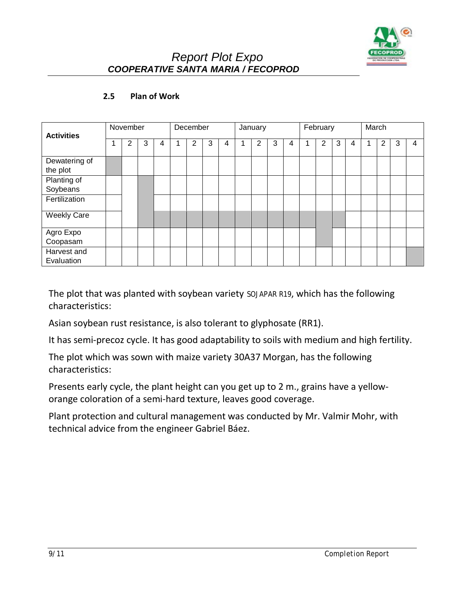

#### **2.5 Plan of Work**

| <b>Activities</b>  | November |   | December |   | January |   | February |   | March |   |   |   |   |   |   |   |   |   |   |   |
|--------------------|----------|---|----------|---|---------|---|----------|---|-------|---|---|---|---|---|---|---|---|---|---|---|
|                    |          | 2 | 3        | 4 |         | 2 | 3        | 4 |       | 2 | 3 | 4 | 1 | 2 | 3 | 4 | 1 | 2 | 3 | 4 |
| Dewatering of      |          |   |          |   |         |   |          |   |       |   |   |   |   |   |   |   |   |   |   |   |
| the plot           |          |   |          |   |         |   |          |   |       |   |   |   |   |   |   |   |   |   |   |   |
| Planting of        |          |   |          |   |         |   |          |   |       |   |   |   |   |   |   |   |   |   |   |   |
| Soybeans           |          |   |          |   |         |   |          |   |       |   |   |   |   |   |   |   |   |   |   |   |
| Fertilization      |          |   |          |   |         |   |          |   |       |   |   |   |   |   |   |   |   |   |   |   |
| <b>Weekly Care</b> |          |   |          |   |         |   |          |   |       |   |   |   |   |   |   |   |   |   |   |   |
| Agro Expo          |          |   |          |   |         |   |          |   |       |   |   |   |   |   |   |   |   |   |   |   |
| Coopasam           |          |   |          |   |         |   |          |   |       |   |   |   |   |   |   |   |   |   |   |   |
| Harvest and        |          |   |          |   |         |   |          |   |       |   |   |   |   |   |   |   |   |   |   |   |
| Evaluation         |          |   |          |   |         |   |          |   |       |   |   |   |   |   |   |   |   |   |   |   |

The plot that was planted with soybean variety SOJAPAR R19, which has the following characteristics:

Asian soybean rust resistance, is also tolerant to glyphosate (RR1).

It has semi-precoz cycle. It has good adaptability to soils with medium and high fertility.

The plot which was sown with maize variety 30A37 Morgan, has the following characteristics:

Presents early cycle, the plant height can you get up to 2 m., grains have a yelloworange coloration of a semi-hard texture, leaves good coverage.

Plant protection and cultural management was conducted by Mr. Valmir Mohr, with technical advice from the engineer Gabriel Báez.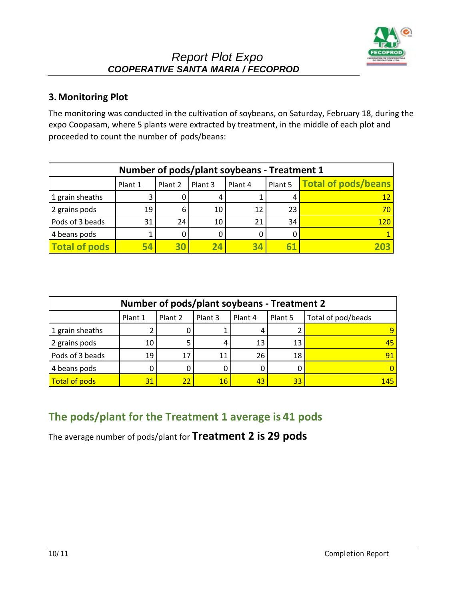

### **3.Monitoring Plot**

The monitoring was conducted in the cultivation of soybeans, on Saturday, February 18, during the expo Coopasam, where 5 plants were extracted by treatment, in the middle of each plot and proceeded to count the number of pods/beans:

| Number of pods/plant soybeans - Treatment 1 |         |         |         |         |         |                            |  |  |  |
|---------------------------------------------|---------|---------|---------|---------|---------|----------------------------|--|--|--|
|                                             | Plant 1 | Plant 2 | Plant 3 | Plant 4 | Plant 5 | <b>Total of pods/beans</b> |  |  |  |
| 1 grain sheaths                             | 3       |         |         |         |         | 12                         |  |  |  |
| 2 grains pods                               | 19      | 6       | 10      | 12      | 23      | 70                         |  |  |  |
| Pods of 3 beads                             | 31      | 24      | 10      | 21      | 34      | <b>120</b>                 |  |  |  |
| 4 beans pods                                |         |         |         |         |         |                            |  |  |  |
| <b>Total of pods</b>                        | 54      | 30      | 24      |         | 61      |                            |  |  |  |

| Number of pods/plant soybeans - Treatment 2                               |    |    |    |    |    |     |  |  |  |  |
|---------------------------------------------------------------------------|----|----|----|----|----|-----|--|--|--|--|
| Total of pod/beads<br>Plant 2<br>Plant 4<br>Plant 5<br>Plant 1<br>Plant 3 |    |    |    |    |    |     |  |  |  |  |
| 1 grain sheaths                                                           |    |    |    |    |    |     |  |  |  |  |
| 2 grains pods                                                             | 10 |    |    | 13 | 13 | 45  |  |  |  |  |
| Pods of 3 beads                                                           | 19 | 17 | 11 | 26 | 18 | 91  |  |  |  |  |
| 4 beans pods                                                              |    |    |    |    |    |     |  |  |  |  |
| <b>Total of pods</b>                                                      | 31 | 22 | 16 | 43 | 33 | 145 |  |  |  |  |

# **The pods/plant for the Treatment 1 average is 41 pods**

The average number of pods/plant for **Treatment 2 is 29 pods**